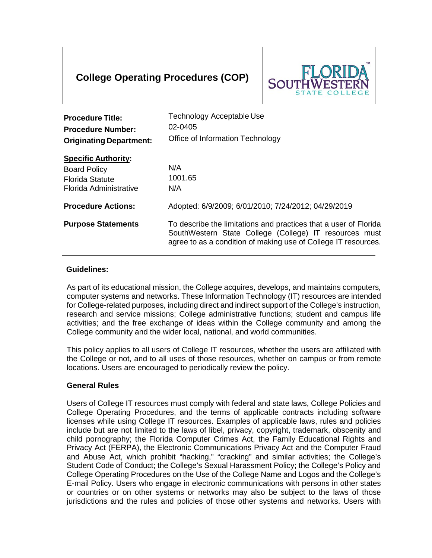# **College Operating Procedures (COP)**



| <b>Procedure Title:</b><br><b>Procedure Number:</b><br><b>Originating Department:</b>                 | Technology Acceptable Use<br>$02 - 0405$<br>Office of Information Technology                                                                                                                 |
|-------------------------------------------------------------------------------------------------------|----------------------------------------------------------------------------------------------------------------------------------------------------------------------------------------------|
| <b>Specific Authority:</b><br><b>Board Policy</b><br><b>Florida Statute</b><br>Florida Administrative | N/A<br>1001.65<br>N/A                                                                                                                                                                        |
| <b>Procedure Actions:</b>                                                                             | Adopted: 6/9/2009; 6/01/2010; 7/24/2012; 04/29/2019                                                                                                                                          |
| <b>Purpose Statements</b>                                                                             | To describe the limitations and practices that a user of Florida<br>SouthWestern State College (College) IT resources must<br>agree to as a condition of making use of College IT resources. |

# **Guidelines:**

As part of its educational mission, the College acquires, develops, and maintains computers, computer systems and networks. These Information Technology (IT) resources are intended for College-related purposes, including direct and indirect support of the College's instruction, research and service missions; College administrative functions; student and campus life activities; and the free exchange of ideas within the College community and among the College community and the wider local, national, and world communities.

This policy applies to all users of College IT resources, whether the users are affiliated with the College or not, and to all uses of those resources, whether on campus or from remote locations. Users are encouraged to periodically review the policy.

# **General Rules**

Users of College IT resources must comply with federal and state laws, College Policies and College Operating Procedures, and the terms of applicable contracts including software licenses while using College IT resources. Examples of applicable laws, rules and policies include but are not limited to the laws of libel, privacy, copyright, trademark, obscenity and child pornography; the Florida Computer Crimes Act, the Family Educational Rights and Privacy Act (FERPA), the Electronic Communications Privacy Act and the Computer Fraud and Abuse Act, which prohibit "hacking," "cracking" and similar activities; the College's Student Code of Conduct; the College's Sexual Harassment Policy; the College's Policy and College Operating Procedures on the Use of the College Name and Logos and the College's E-mail Policy. Users who engage in electronic communications with persons in other states or countries or on other systems or networks may also be subject to the laws of those jurisdictions and the rules and policies of those other systems and networks. Users with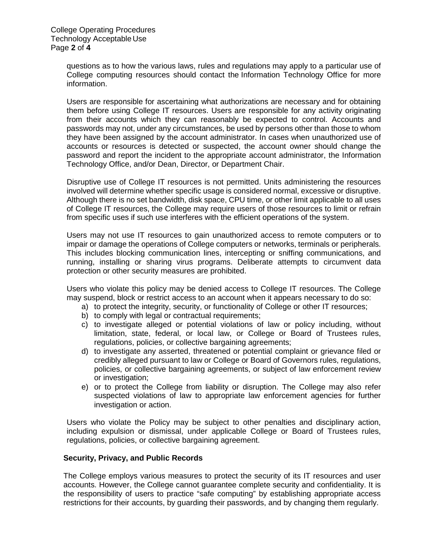questions as to how the various laws, rules and regulations may apply to a particular use of College computing resources should contact the Information Technology Office for more information.

Users are responsible for ascertaining what authorizations are necessary and for obtaining them before using College IT resources. Users are responsible for any activity originating from their accounts which they can reasonably be expected to control. Accounts and passwords may not, under any circumstances, be used by persons other than those to whom they have been assigned by the account administrator. In cases when unauthorized use of accounts or resources is detected or suspected, the account owner should change the password and report the incident to the appropriate account administrator, the Information Technology Office, and/or Dean, Director, or Department Chair.

Disruptive use of College IT resources is not permitted. Units administering the resources involved will determine whether specific usage is considered normal, excessive or disruptive. Although there is no set bandwidth, disk space, CPU time, or other limit applicable to all uses of College IT resources, the College may require users of those resources to limit or refrain from specific uses if such use interferes with the efficient operations of the system.

Users may not use IT resources to gain unauthorized access to remote computers or to impair or damage the operations of College computers or networks, terminals or peripherals. This includes blocking communication lines, intercepting or sniffing communications, and running, installing or sharing virus programs. Deliberate attempts to circumvent data protection or other security measures are prohibited.

Users who violate this policy may be denied access to College IT resources. The College may suspend, block or restrict access to an account when it appears necessary to do so:

- a) to protect the integrity, security, or functionality of College or other IT resources;
- b) to comply with legal or contractual requirements;
- c) to investigate alleged or potential violations of law or policy including, without limitation, state, federal, or local law, or College or Board of Trustees rules, regulations, policies, or collective bargaining agreements;
- d) to investigate any asserted, threatened or potential complaint or grievance filed or credibly alleged pursuant to law or College or Board of Governors rules, regulations, policies, or collective bargaining agreements, or subject of law enforcement review or investigation;
- e) or to protect the College from liability or disruption. The College may also refer suspected violations of law to appropriate law enforcement agencies for further investigation or action.

Users who violate the Policy may be subject to other penalties and disciplinary action, including expulsion or dismissal, under applicable College or Board of Trustees rules, regulations, policies, or collective bargaining agreement.

#### **Security, Privacy, and Public Records**

The College employs various measures to protect the security of its IT resources and user accounts. However, the College cannot guarantee complete security and confidentiality. It is the responsibility of users to practice "safe computing" by establishing appropriate access restrictions for their accounts, by guarding their passwords, and by changing them regularly.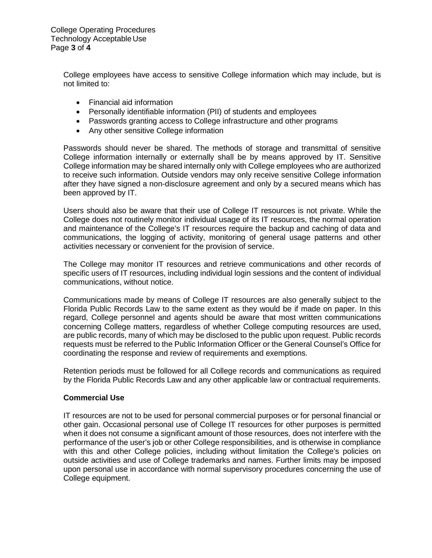College Operating Procedures Technology Acceptable Use Page **3** of **4**

> College employees have access to sensitive College information which may include, but is not limited to:

- Financial aid information
- Personally identifiable information (PII) of students and employees
- Passwords granting access to College infrastructure and other programs
- Any other sensitive College information

Passwords should never be shared. The methods of storage and transmittal of sensitive College information internally or externally shall be by means approved by IT. Sensitive College information may be shared internally only with College employees who are authorized to receive such information. Outside vendors may only receive sensitive College information after they have signed a non-disclosure agreement and only by a secured means which has been approved by IT.

Users should also be aware that their use of College IT resources is not private. While the College does not routinely monitor individual usage of its IT resources, the normal operation and maintenance of the College's IT resources require the backup and caching of data and communications, the logging of activity, monitoring of general usage patterns and other activities necessary or convenient for the provision of service.

The College may monitor IT resources and retrieve communications and other records of specific users of IT resources, including individual login sessions and the content of individual communications, without notice.

Communications made by means of College IT resources are also generally subject to the Florida Public Records Law to the same extent as they would be if made on paper. In this regard, College personnel and agents should be aware that most written communications concerning College matters, regardless of whether College computing resources are used, are public records, many of which may be disclosed to the public upon request. Public records requests must be referred to the Public Information Officer or the General Counsel's Office for coordinating the response and review of requirements and exemptions.

Retention periods must be followed for all College records and communications as required by the Florida Public Records Law and any other applicable law or contractual requirements.

### **Commercial Use**

IT resources are not to be used for personal commercial purposes or for personal financial or other gain. Occasional personal use of College IT resources for other purposes is permitted when it does not consume a significant amount of those resources, does not interfere with the performance of the user's job or other College responsibilities, and is otherwise in compliance with this and other College policies, including without limitation the College's policies on outside activities and use of College trademarks and names. Further limits may be imposed upon personal use in accordance with normal supervisory procedures concerning the use of College equipment.